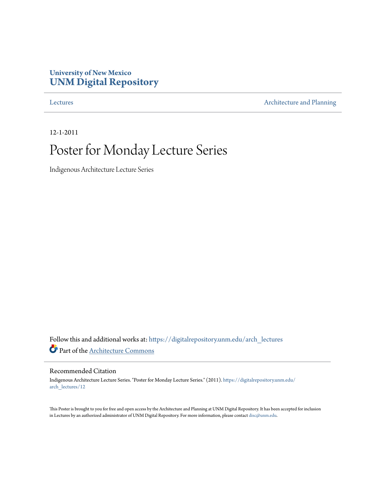### **University of New Mexico [UNM Digital Repository](https://digitalrepository.unm.edu?utm_source=digitalrepository.unm.edu%2Farch_lectures%2F12&utm_medium=PDF&utm_campaign=PDFCoverPages)**

[Lectures](https://digitalrepository.unm.edu/arch_lectures?utm_source=digitalrepository.unm.edu%2Farch_lectures%2F12&utm_medium=PDF&utm_campaign=PDFCoverPages) **[Architecture and Planning](https://digitalrepository.unm.edu/arch?utm_source=digitalrepository.unm.edu%2Farch_lectures%2F12&utm_medium=PDF&utm_campaign=PDFCoverPages)** 

12-1-2011

## Poster for Monday Lecture Series

Indigenous Architecture Lecture Series

Follow this and additional works at: [https://digitalrepository.unm.edu/arch\\_lectures](https://digitalrepository.unm.edu/arch_lectures?utm_source=digitalrepository.unm.edu%2Farch_lectures%2F12&utm_medium=PDF&utm_campaign=PDFCoverPages) Part of the [Architecture Commons](http://network.bepress.com/hgg/discipline/773?utm_source=digitalrepository.unm.edu%2Farch_lectures%2F12&utm_medium=PDF&utm_campaign=PDFCoverPages)

#### Recommended Citation

Indigenous Architecture Lecture Series. "Poster for Monday Lecture Series." (2011). [https://digitalrepository.unm.edu/](https://digitalrepository.unm.edu/arch_lectures/12?utm_source=digitalrepository.unm.edu%2Farch_lectures%2F12&utm_medium=PDF&utm_campaign=PDFCoverPages) [arch\\_lectures/12](https://digitalrepository.unm.edu/arch_lectures/12?utm_source=digitalrepository.unm.edu%2Farch_lectures%2F12&utm_medium=PDF&utm_campaign=PDFCoverPages)

This Poster is brought to you for free and open access by the Architecture and Planning at UNM Digital Repository. It has been accepted for inclusion in Lectures by an authorized administrator of UNM Digital Repository. For more information, please contact [disc@unm.edu.](mailto:disc@unm.edu)